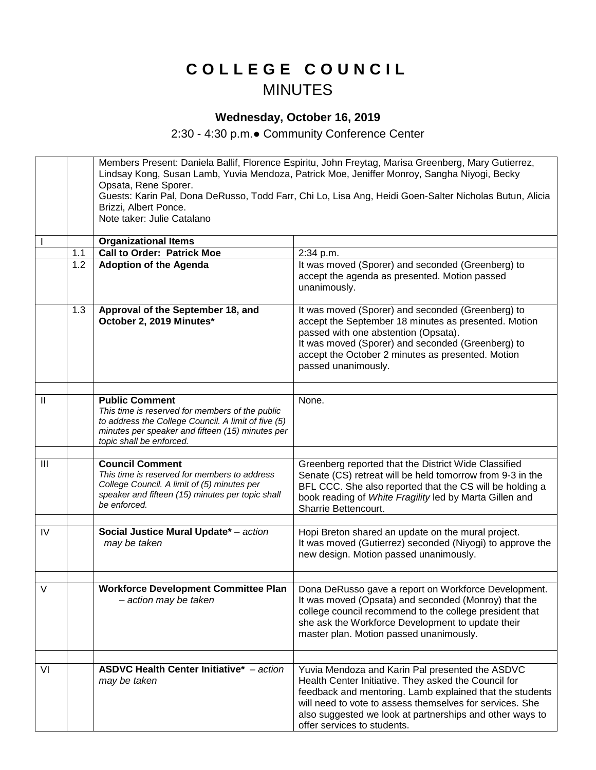## **C O L L E G E C O U N C I L** MINUTES

## **Wednesday, October 16, 2019**

2:30 - 4:30 p.m.● Community Conference Center

|                |     | Members Present: Daniela Ballif, Florence Espiritu, John Freytag, Marisa Greenberg, Mary Gutierrez,<br>Lindsay Kong, Susan Lamb, Yuvia Mendoza, Patrick Moe, Jeniffer Monroy, Sangha Niyogi, Becky<br>Opsata, Rene Sporer.<br>Guests: Karin Pal, Dona DeRusso, Todd Farr, Chi Lo, Lisa Ang, Heidi Goen-Salter Nicholas Butun, Alicia<br>Brizzi, Albert Ponce.<br>Note taker: Julie Catalano |                                                                                                                                                                                                                                                                                                                            |  |
|----------------|-----|---------------------------------------------------------------------------------------------------------------------------------------------------------------------------------------------------------------------------------------------------------------------------------------------------------------------------------------------------------------------------------------------|----------------------------------------------------------------------------------------------------------------------------------------------------------------------------------------------------------------------------------------------------------------------------------------------------------------------------|--|
|                |     | <b>Organizational Items</b>                                                                                                                                                                                                                                                                                                                                                                 |                                                                                                                                                                                                                                                                                                                            |  |
|                | 1.1 | <b>Call to Order: Patrick Moe</b>                                                                                                                                                                                                                                                                                                                                                           | 2:34 p.m.                                                                                                                                                                                                                                                                                                                  |  |
|                | 1.2 | <b>Adoption of the Agenda</b>                                                                                                                                                                                                                                                                                                                                                               | It was moved (Sporer) and seconded (Greenberg) to<br>accept the agenda as presented. Motion passed<br>unanimously.                                                                                                                                                                                                         |  |
|                | 1.3 | Approval of the September 18, and<br>October 2, 2019 Minutes*                                                                                                                                                                                                                                                                                                                               | It was moved (Sporer) and seconded (Greenberg) to<br>accept the September 18 minutes as presented. Motion<br>passed with one abstention (Opsata).<br>It was moved (Sporer) and seconded (Greenberg) to<br>accept the October 2 minutes as presented. Motion<br>passed unanimously.                                         |  |
| $\mathbf{II}$  |     | <b>Public Comment</b><br>This time is reserved for members of the public<br>to address the College Council. A limit of five (5)<br>minutes per speaker and fifteen (15) minutes per<br>topic shall be enforced.                                                                                                                                                                             | None.                                                                                                                                                                                                                                                                                                                      |  |
|                |     |                                                                                                                                                                                                                                                                                                                                                                                             |                                                                                                                                                                                                                                                                                                                            |  |
| $\mathbf{III}$ |     | <b>Council Comment</b><br>This time is reserved for members to address<br>College Council. A limit of (5) minutes per<br>speaker and fifteen (15) minutes per topic shall<br>be enforced.                                                                                                                                                                                                   | Greenberg reported that the District Wide Classified<br>Senate (CS) retreat will be held tomorrow from 9-3 in the<br>BFL CCC. She also reported that the CS will be holding a<br>book reading of White Fragility led by Marta Gillen and<br>Sharrie Bettencourt.                                                           |  |
|                |     |                                                                                                                                                                                                                                                                                                                                                                                             |                                                                                                                                                                                                                                                                                                                            |  |
| IV             |     | Social Justice Mural Update* - action<br>may be taken                                                                                                                                                                                                                                                                                                                                       | Hopi Breton shared an update on the mural project.<br>It was moved (Gutierrez) seconded (Niyogi) to approve the<br>new design. Motion passed unanimously.                                                                                                                                                                  |  |
| V              |     | <b>Workforce Development Committee Plan</b><br>- action may be taken                                                                                                                                                                                                                                                                                                                        | Dona DeRusso gave a report on Workforce Development.<br>It was moved (Opsata) and seconded (Monroy) that the<br>college council recommend to the college president that<br>she ask the Workforce Development to update their<br>master plan. Motion passed unanimously.                                                    |  |
|                |     |                                                                                                                                                                                                                                                                                                                                                                                             |                                                                                                                                                                                                                                                                                                                            |  |
| VI             |     | <b>ASDVC Health Center Initiative*</b> - action<br>may be taken                                                                                                                                                                                                                                                                                                                             | Yuvia Mendoza and Karin Pal presented the ASDVC<br>Health Center Initiative. They asked the Council for<br>feedback and mentoring. Lamb explained that the students<br>will need to vote to assess themselves for services. She<br>also suggested we look at partnerships and other ways to<br>offer services to students. |  |